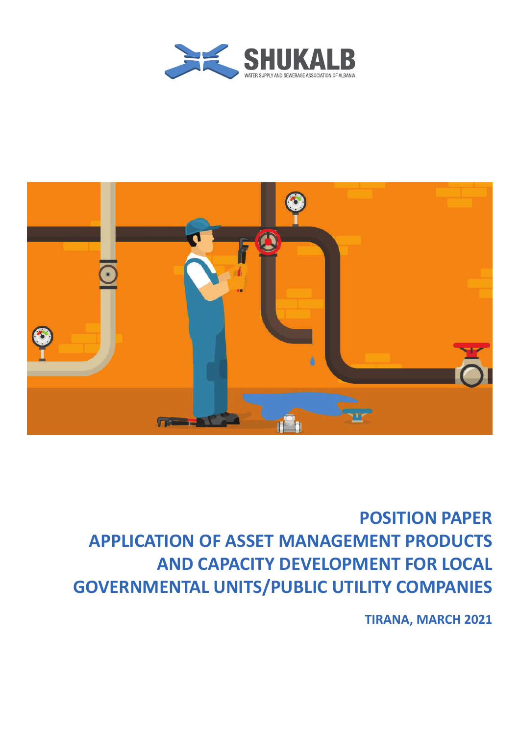



# **POSITION PAPER APPLICATION OF ASSET MANAGEMENT PRODUCTS AND CAPACITY DEVELOPMENT FOR LOCAL GOVERNMENTAL UNITS/PUBLIC UTILITY COMPANIES**

**TIRANA, MARCH 2021**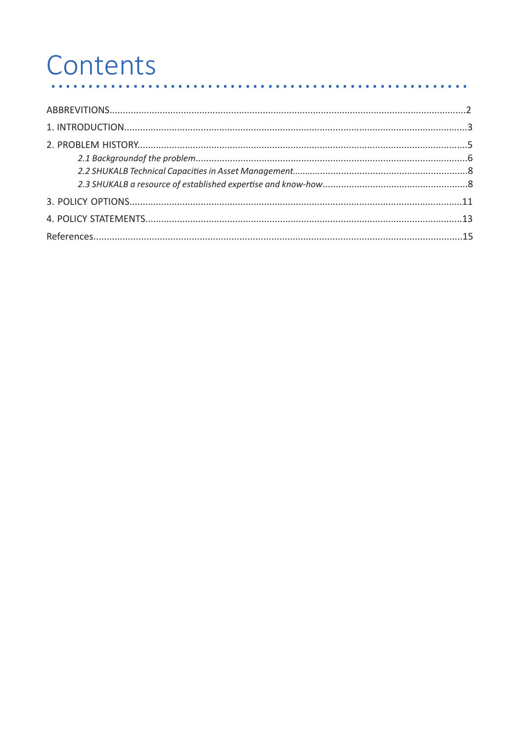#### Contents  $\begin{array}{ccccccccccccc} \bullet & \bullet & \bullet & \bullet & \bullet & \bullet & \bullet \end{array}$ . . . . . . . . . . . . . . . . . . .  $\bullet$

. . . . . . . . . . . . . . . . .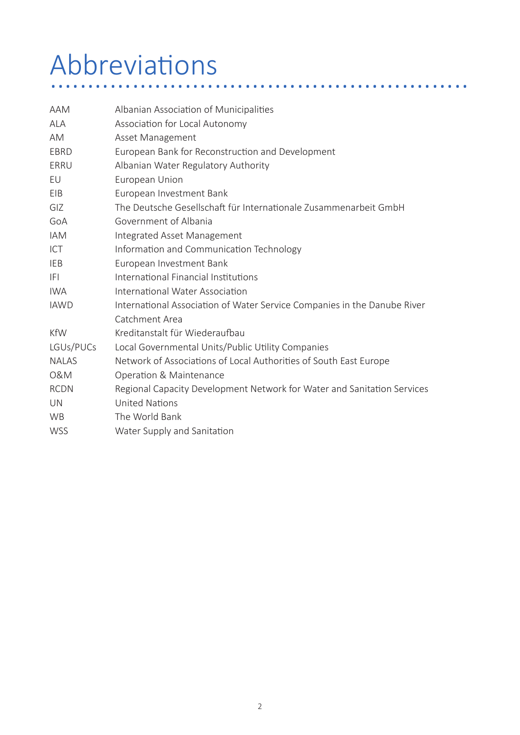# Abbreviations ........................................................

| Albanian Association of Municipalities                                   |  |  |
|--------------------------------------------------------------------------|--|--|
| Association for Local Autonomy                                           |  |  |
| Asset Management                                                         |  |  |
| European Bank for Reconstruction and Development                         |  |  |
| Albanian Water Regulatory Authority                                      |  |  |
| European Union                                                           |  |  |
| European Investment Bank                                                 |  |  |
| The Deutsche Gesellschaft für Internationale Zusammenarbeit GmbH         |  |  |
| Government of Albania                                                    |  |  |
| Integrated Asset Management                                              |  |  |
| Information and Communication Technology                                 |  |  |
| European Investment Bank                                                 |  |  |
| International Financial Institutions                                     |  |  |
| International Water Association                                          |  |  |
| International Association of Water Service Companies in the Danube River |  |  |
| Catchment Area                                                           |  |  |
| Kreditanstalt für Wiederaufbau                                           |  |  |
| Local Governmental Units/Public Utility Companies                        |  |  |
| Network of Associations of Local Authorities of South East Europe        |  |  |
| Operation & Maintenance                                                  |  |  |
| Regional Capacity Development Network for Water and Sanitation Services  |  |  |
| <b>United Nations</b>                                                    |  |  |
| The World Bank                                                           |  |  |
| Water Supply and Sanitation                                              |  |  |
|                                                                          |  |  |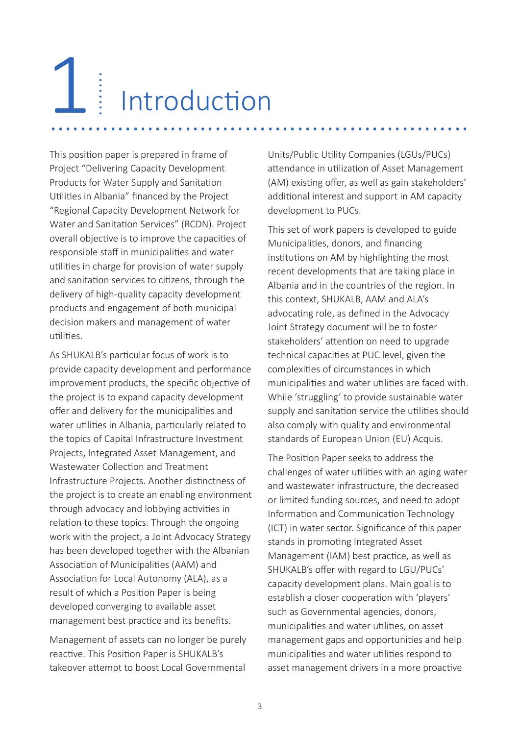# Introduction 1 ........................................................ ........

This position paper is prepared in frame of Project "Delivering Capacity Development Products for Water Supply and Sanitation Utilities in Albania" financed by the Project "Regional Capacity Development Network for Water and Sanitation Services" (RCDN). Project overall objective is to improve the capacities of responsible staff in municipalities and water utilities in charge for provision of water supply and sanitation services to citizens, through the delivery of high-quality capacity development products and engagement of both municipal decision makers and management of water utilities.

As SHUKALB's particular focus of work is to provide capacity development and performance improvement products, the specific objective of the project is to expand capacity development offer and delivery for the municipalities and water utilities in Albania, particularly related to the topics of Capital Infrastructure Investment Projects, Integrated Asset Management, and Wastewater Collection and Treatment Infrastructure Projects. Another distinctness of the project is to create an enabling environment through advocacy and lobbying activities in relation to these topics. Through the ongoing work with the project, a Joint Advocacy Strategy has been developed together with the Albanian Association of Municipalities (AAM) and Association for Local Autonomy (ALA), as a result of which a Position Paper is being developed converging to available asset management best practice and its benefits.

Management of assets can no longer be purely reactive. This Position Paper is SHUKALB's takeover attempt to boost Local Governmental Units/Public Utility Companies (LGUs/PUCs) attendance in utilization of Asset Management (AM) existing offer, as well as gain stakeholders' additional interest and support in AM capacity development to PUCs.

This set of work papers is developed to guide Municipalities, donors, and financing institutions on AM by highlighting the most recent developments that are taking place in Albania and in the countries of the region. In this context, SHUKALB, AAM and ALA's advocating role, as defined in the Advocacy Joint Strategy document will be to foster stakeholders' attention on need to upgrade technical capacities at PUC level, given the complexities of circumstances in which municipalities and water utilities are faced with. While 'struggling' to provide sustainable water supply and sanitation service the utilities should also comply with quality and environmental standards of European Union (EU) Acquis.

The Position Paper seeks to address the challenges of water utilities with an aging water and wastewater infrastructure, the decreased or limited funding sources, and need to adopt Information and Communication Technology (ICT) in water sector. Significance of this paper stands in promoting Integrated Asset Management (IAM) best practice, as well as SHUKALB's offer with regard to LGU/PUCs' capacity development plans. Main goal is to establish a closer cooperation with 'players' such as Governmental agencies, donors, municipalities and water utilities, on asset management gaps and opportunities and help municipalities and water utilities respond to asset management drivers in a more proactive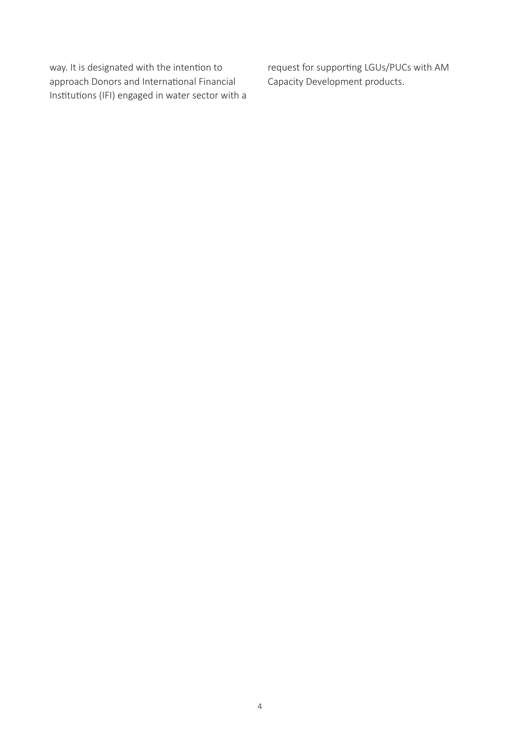way. It is designated with the intention to approach Donors and International Financial Institutions (IFI) engaged in water sector with a request for supporting LGUs/PUCs with AM Capacity Development products.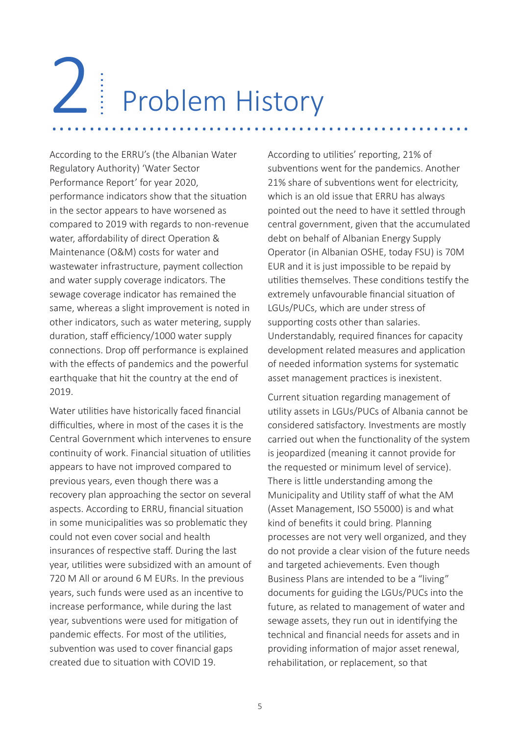# Problem History 2 Li Problem History

According to the ERRU's (the Albanian Water Regulatory Authority) 'Water Sector Performance Report' for year 2020, performance indicators show that the situation in the sector appears to have worsened as compared to 2019 with regards to non-revenue water, affordability of direct Operation & Maintenance (O&M) costs for water and wastewater infrastructure, payment collection and water supply coverage indicators. The sewage coverage indicator has remained the same, whereas a slight improvement is noted in other indicators, such as water metering, supply duration, staff efficiency/1000 water supply connections. Drop off performance is explained with the effects of pandemics and the powerful earthquake that hit the country at the end of 2019.

Water utilities have historically faced financial difficulties, where in most of the cases it is the Central Government which intervenes to ensure continuity of work. Financial situation of utilities appears to have not improved compared to previous years, even though there was a recovery plan approaching the sector on several aspects. According to ERRU, financial situation in some municipalities was so problematic they could not even cover social and health insurances of respective staff. During the last year, utilities were subsidized with an amount of 720 M All or around 6 M EURs. In the previous years, such funds were used as an incentive to increase performance, while during the last year, subventions were used for mitigation of pandemic effects. For most of the utilities, subvention was used to cover financial gaps created due to situation with COVID 19.

According to utilities' reporting, 21% of subventions went for the pandemics. Another 21% share of subventions went for electricity, which is an old issue that ERRU has always pointed out the need to have it settled through central government, given that the accumulated debt on behalf of Albanian Energy Supply Operator (in Albanian OSHE, today FSU) is 70M EUR and it is just impossible to be repaid by utilities themselves. These conditions testify the extremely unfavourable financial situation of LGUs/PUCs, which are under stress of supporting costs other than salaries. Understandably, required finances for capacity development related measures and application of needed information systems for systematic asset management practices is inexistent.

Current situation regarding management of utility assets in LGUs/PUCs of Albania cannot be considered satisfactory. Investments are mostly carried out when the functionality of the system is jeopardized (meaning it cannot provide for the requested or minimum level of service). There is little understanding among the Municipality and Utility staff of what the AM (Asset Management, ISO 55000) is and what kind of benefits it could bring. Planning processes are not very well organized, and they do not provide a clear vision of the future needs and targeted achievements. Even though Business Plans are intended to be a "living" documents for guiding the LGUs/PUCs into the future, as related to management of water and sewage assets, they run out in identifying the technical and financial needs for assets and in providing information of major asset renewal, rehabilitation, or replacement, so that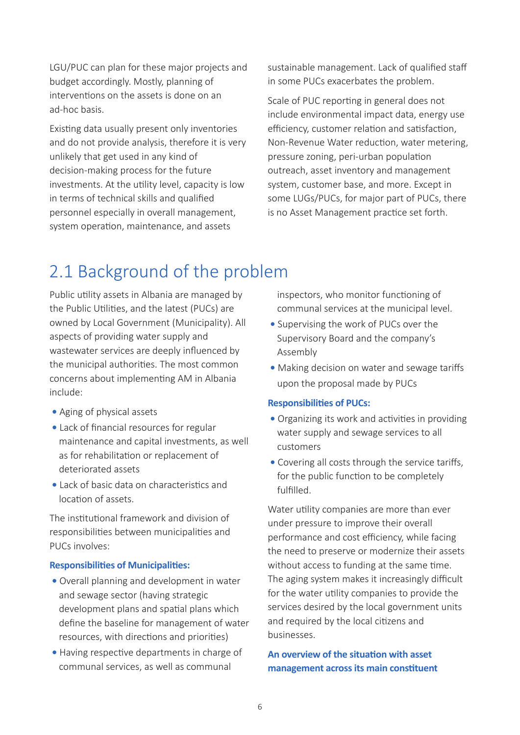LGU/PUC can plan for these major projects and budget accordingly. Mostly, planning of interventions on the assets is done on an ad-hoc basis.

Existing data usually present only inventories and do not provide analysis, therefore it is very unlikely that get used in any kind of decision-making process for the future investments. At the utility level, capacity is low in terms of technical skills and qualified personnel especially in overall management, system operation, maintenance, and assets

sustainable management. Lack of qualified staff in some PUCs exacerbates the problem.

Scale of PUC reporting in general does not include environmental impact data, energy use efficiency, customer relation and satisfaction, Non-Revenue Water reduction, water metering, pressure zoning, peri-urban population outreach, asset inventory and management system, customer base, and more. Except in some LUGs/PUCs, for major part of PUCs, there is no Asset Management practice set forth.

# 2.1 Background of the problem

Public utility assets in Albania are managed by the Public Utilities, and the latest (PUCs) are owned by Local Government (Municipality). All aspects of providing water supply and wastewater services are deeply influenced by the municipal authorities. The most common concerns about implementing AM in Albania include:

- **•** Aging of physical assets
- **•** Lack of financial resources for regular maintenance and capital investments, as well as for rehabilitation or replacement of deteriorated assets
- Lack of basic data on characteristics and location of assets.

The institutional framework and division of responsibilities between municipalities and PUCs involves:

#### **Responsibilities of Municipalities:**

- Overall planning and development in water and sewage sector (having strategic development plans and spatial plans which define the baseline for management of water resources, with directions and priorities)
- Having respective departments in charge of communal services, as well as communal

 inspectors, who monitor functioning of communal services at the municipal level.

- Supervising the work of PUCs over the Supervisory Board and the company's Assembly
- Making decision on water and sewage tariffs upon the proposal made by PUCs

#### **Responsibilities of PUCs:**

- Organizing its work and activities in providing water supply and sewage services to all customers
- Covering all costs through the service tariffs, for the public function to be completely fulfilled.

Water utility companies are more than ever under pressure to improve their overall performance and cost efficiency, while facing the need to preserve or modernize their assets without access to funding at the same time. The aging system makes it increasingly difficult for the water utility companies to provide the services desired by the local government units and required by the local citizens and businesses.

## **An overview of the situation with asset management across its main constituent**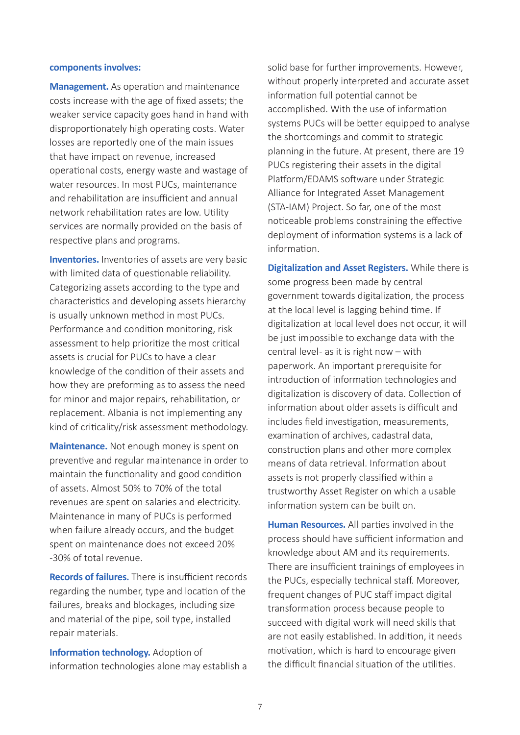#### **components involves:**

**Management.** As operation and maintenance costs increase with the age of fixed assets; the weaker service capacity goes hand in hand with disproportionately high operating costs. Water losses are reportedly one of the main issues that have impact on revenue, increased operational costs, energy waste and wastage of water resources. In most PUCs, maintenance and rehabilitation are insufficient and annual network rehabilitation rates are low. Utility services are normally provided on the basis of respective plans and programs.

**Inventories.** Inventories of assets are very basic with limited data of questionable reliability. Categorizing assets according to the type and characteristics and developing assets hierarchy is usually unknown method in most PUCs. Performance and condition monitoring, risk assessment to help prioritize the most critical assets is crucial for PUCs to have a clear knowledge of the condition of their assets and how they are preforming as to assess the need for minor and major repairs, rehabilitation, or replacement. Albania is not implementing any kind of criticality/risk assessment methodology.

**Maintenance.** Not enough money is spent on preventive and regular maintenance in order to maintain the functionality and good condition of assets. Almost 50% to 70% of the total revenues are spent on salaries and electricity. Maintenance in many of PUCs is performed when failure already occurs, and the budget spent on maintenance does not exceed 20% -30% of total revenue.

**Records of failures.** There is insufficient records regarding the number, type and location of the failures, breaks and blockages, including size and material of the pipe, soil type, installed repair materials.

**Information technology.** Adoption of information technologies alone may establish a

solid base for further improvements. However, without properly interpreted and accurate asset information full potential cannot be accomplished. With the use of information systems PUCs will be better equipped to analyse the shortcomings and commit to strategic planning in the future. At present, there are 19 PUCs registering their assets in the digital Platform/EDAMS software under Strategic Alliance for Integrated Asset Management (STA-IAM) Project. So far, one of the most noticeable problems constraining the effective deployment of information systems is a lack of information.

**Digitalization and Asset Registers.** While there is some progress been made by central government towards digitalization, the process at the local level is lagging behind time. If digitalization at local level does not occur, it will be just impossible to exchange data with the central level- as it is right now  $-$  with paperwork. An important prerequisite for introduction of information technologies and digitalization is discovery of data. Collection of information about older assets is difficult and includes field investigation, measurements, examination of archives, cadastral data, construction plans and other more complex means of data retrieval. Information about assets is not properly classified within a trustworthy Asset Register on which a usable information system can be built on.

**Human Resources.** All parties involved in the process should have sufficient information and knowledge about AM and its requirements. There are insufficient trainings of employees in the PUCs, especially technical staff. Moreover, frequent changes of PUC staff impact digital transformation process because people to succeed with digital work will need skills that are not easily established. In addition, it needs motivation, which is hard to encourage given the difficult financial situation of the utilities.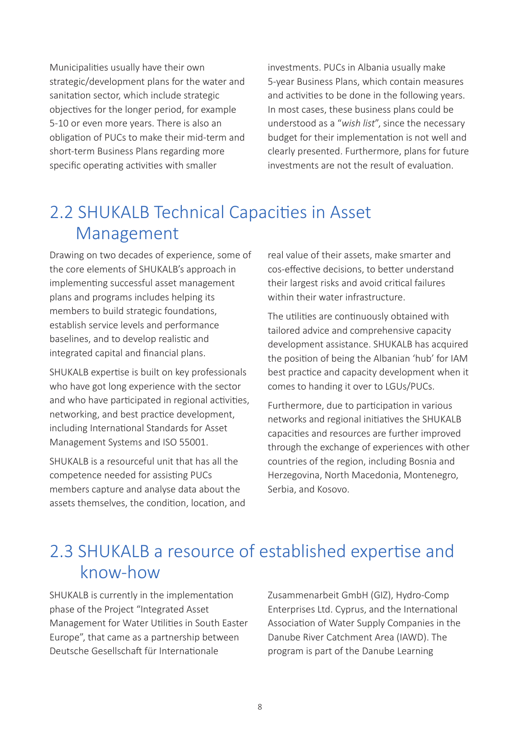Municipalities usually have their own strategic/development plans for the water and sanitation sector, which include strategic objectives for the longer period, for example 5-10 or even more years. There is also an obligation of PUCs to make their mid-term and short-term Business Plans regarding more specific operating activities with smaller

investments. PUCs in Albania usually make 5-year Business Plans, which contain measures and activities to be done in the following years. In most cases, these business plans could be understood as a "*wish list*", since the necessary budget for their implementation is not well and clearly presented. Furthermore, plans for future investments are not the result of evaluation.

# 2.2 SHUKALB Technical Capacities in Asset Management

Drawing on two decades of experience, some of the core elements of SHUKALB's approach in implementing successful asset management plans and programs includes helping its members to build strategic foundations, establish service levels and performance baselines, and to develop realistic and integrated capital and financial plans.

SHUKALB expertise is built on key professionals who have got long experience with the sector and who have participated in regional activities, networking, and best practice development, including International Standards for Asset Management Systems and ISO 55001.

SHUKALB is a resourceful unit that has all the competence needed for assisting PUCs members capture and analyse data about the assets themselves, the condition, location, and

real value of their assets, make smarter and cos-effective decisions, to better understand their largest risks and avoid critical failures within their water infrastructure

The utilities are continuously obtained with tailored advice and comprehensive capacity development assistance. SHUKALB has acquired the position of being the Albanian 'hub' for IAM best practice and capacity development when it comes to handing it over to LGUs/PUCs.

Furthermore, due to participation in various networks and regional initiatives the SHUKALB capacities and resources are further improved through the exchange of experiences with other countries of the region, including Bosnia and Herzegovina, North Macedonia, Montenegro, Serbia, and Kosovo.

# 2.3 SHUKALB a resource of established expertise and know-how

SHUKALB is currently in the implementation phase of the Project "Integrated Asset Management for Water Utilities in South Easter Europe", that came as a partnership between Deutsche Gesellschaft für Internationale

Zusammenarbeit GmbH (GIZ), Hydro-Comp Enterprises Ltd. Cyprus, and the International Association of Water Supply Companies in the Danube River Catchment Area (IAWD). The program is part of the Danube Learning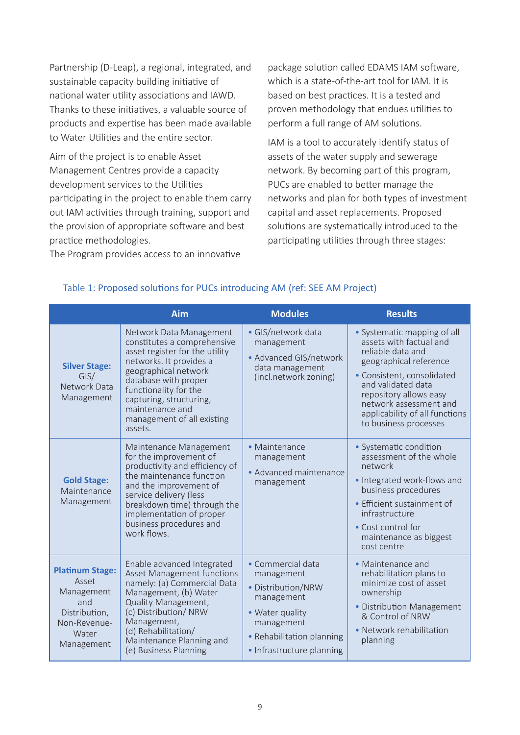Partnership (D-Leap), a regional, integrated, and sustainable capacity building initiative of national water utility associations and IAWD. Thanks to these initiatives, a valuable source of products and expertise has been made available to Water Utilities and the entire sector.

Aim of the project is to enable Asset Management Centres provide a capacity development services to the Utilities participating in the project to enable them carry out IAM activities through training, support and the provision of appropriate software and best practice methodologies.

package solution called EDAMS IAM software, which is a state-of-the-art tool for IAM. It is based on best practices. It is a tested and proven methodology that endues utilities to perform a full range of AM solutions.

IAM is a tool to accurately identify status of assets of the water supply and sewerage network. By becoming part of this program, PUCs are enabled to better manage the networks and plan for both types of investment capital and asset replacements. Proposed solutions are systematically introduced to the participating utilities through three stages:

The Program provides access to an innovative

|                                                                                                              | <b>Aim</b>                                                                                                                                                                                                                                                                          | <b>Modules</b>                                                                                                                                                 | <b>Results</b>                                                                                                                                                                                                                                                           |
|--------------------------------------------------------------------------------------------------------------|-------------------------------------------------------------------------------------------------------------------------------------------------------------------------------------------------------------------------------------------------------------------------------------|----------------------------------------------------------------------------------------------------------------------------------------------------------------|--------------------------------------------------------------------------------------------------------------------------------------------------------------------------------------------------------------------------------------------------------------------------|
| <b>Silver Stage:</b><br>GIS/<br>Network Data<br>Management                                                   | Network Data Management<br>constitutes a comprehensive<br>asset register for the utility<br>networks. It provides a<br>geographical network<br>database with proper<br>functionality for the<br>capturing, structuring,<br>maintenance and<br>management of all existing<br>assets. | · GIS/network data<br>management<br>• Advanced GIS/network<br>data management<br>(incl.network zoning)                                                         | • Systematic mapping of all<br>assets with factual and<br>reliable data and<br>geographical reference<br>· Consistent, consolidated<br>and validated data<br>repository allows easy<br>network assessment and<br>applicability of all functions<br>to business processes |
| <b>Gold Stage:</b><br>Maintenance<br>Management                                                              | Maintenance Management<br>for the improvement of<br>productivity and efficiency of<br>the maintenance function<br>and the improvement of<br>service delivery (less<br>breakdown time) through the<br>implementation of proper<br>business procedures and<br>work flows.             | · Maintenance<br>management<br>• Advanced maintenance<br>management                                                                                            | • Systematic condition<br>assessment of the whole<br>network<br>· Integrated work-flows and<br>business procedures<br>• Efficient sustainment of<br>infrastructure<br>• Cost control for<br>maintenance as biggest<br>cost centre                                        |
| <b>Platinum Stage:</b><br>Asset<br>Management<br>and<br>Distribution,<br>Non-Revenue-<br>Water<br>Management | Enable advanced Integrated<br>Asset Management functions<br>namely: (a) Commercial Data<br>Management, (b) Water<br><b>Quality Management,</b><br>(c) Distribution/ NRW<br>Management,<br>(d) Rehabilitation/<br>Maintenance Planning and<br>(e) Business Planning                  | · Commercial data<br>management<br>• Distribution/NRW<br>management<br>• Water quality<br>management<br>• Rehabilitation planning<br>• Infrastructure planning | • Maintenance and<br>rehabilitation plans to<br>minimize cost of asset<br>ownership<br>• Distribution Management<br>& Control of NRW<br>• Network rehabilitation<br>planning                                                                                             |

#### Table 1: Proposed solutions for PUCs introducing AM (ref: SEE AM Project)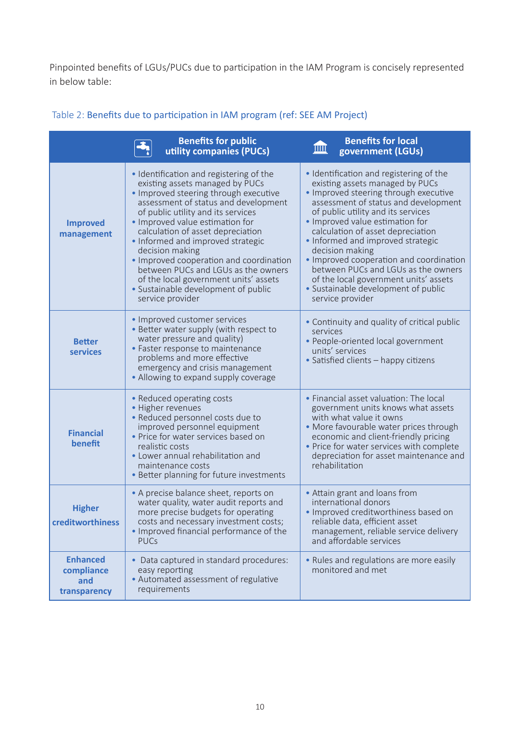Pinpointed benefits of LGUs/PUCs due to participation in the IAM Program is concisely represented in below table:

|                                                      | <b>Benefits for public</b><br>utility companies (PUCs)                                                                                                                                                                                                                                                                                                                                                                                                                                                                  | <b>Benefits for local</b><br>皿<br>government (LGUs)                                                                                                                                                                                                                                                                                                                                                                                                                                                                     |
|------------------------------------------------------|-------------------------------------------------------------------------------------------------------------------------------------------------------------------------------------------------------------------------------------------------------------------------------------------------------------------------------------------------------------------------------------------------------------------------------------------------------------------------------------------------------------------------|-------------------------------------------------------------------------------------------------------------------------------------------------------------------------------------------------------------------------------------------------------------------------------------------------------------------------------------------------------------------------------------------------------------------------------------------------------------------------------------------------------------------------|
| <b>Improved</b><br>management                        | · Identification and registering of the<br>existing assets managed by PUCs<br>• Improved steering through executive<br>assessment of status and development<br>of public utility and its services<br>• Improved value estimation for<br>calculation of asset depreciation<br>• Informed and improved strategic<br>decision making<br>· Improved cooperation and coordination<br>between PUCs and LGUs as the owners<br>of the local government units' assets<br>• Sustainable development of public<br>service provider | · Identification and registering of the<br>existing assets managed by PUCs<br>• Improved steering through executive<br>assessment of status and development<br>of public utility and its services<br>• Improved value estimation for<br>calculation of asset depreciation<br>• Informed and improved strategic<br>decision making<br>• Improved cooperation and coordination<br>between PUCs and LGUs as the owners<br>of the local government units' assets<br>• Sustainable development of public<br>service provider |
| <b>Better</b><br>services                            | • Improved customer services<br>• Better water supply (with respect to<br>water pressure and quality)<br>• Faster response to maintenance<br>problems and more effective<br>emergency and crisis management<br>• Allowing to expand supply coverage                                                                                                                                                                                                                                                                     | • Continuity and quality of critical public<br>services<br>• People-oriented local government<br>units' services<br>• Satisfied clients - happy citizens                                                                                                                                                                                                                                                                                                                                                                |
| <b>Financial</b><br>benefit                          | • Reduced operating costs<br>• Higher revenues<br>• Reduced personnel costs due to<br>improved personnel equipment<br>· Price for water services based on<br>realistic costs<br>• Lower annual rehabilitation and<br>maintenance costs<br>• Better planning for future investments                                                                                                                                                                                                                                      | • Financial asset valuation: The local<br>government units knows what assets<br>with what value it owns<br>• More favourable water prices through<br>economic and client-friendly pricing<br>• Price for water services with complete<br>depreciation for asset maintenance and<br>rehabilitation                                                                                                                                                                                                                       |
| <b>Higher</b><br>creditworthiness                    | • A precise balance sheet, reports on<br>water quality, water audit reports and<br>more precise budgets for operating<br>costs and necessary investment costs;<br>. Improved financial performance of the<br><b>PUCs</b>                                                                                                                                                                                                                                                                                                | • Attain grant and loans from<br>international donors<br>· Improved creditworthiness based on<br>reliable data, efficient asset<br>management, reliable service delivery<br>and affordable services                                                                                                                                                                                                                                                                                                                     |
| <b>Enhanced</b><br>compliance<br>and<br>transparency | • Data captured in standard procedures:<br>easy reporting<br>• Automated assessment of regulative<br>requirements                                                                                                                                                                                                                                                                                                                                                                                                       | . Rules and regulations are more easily<br>monitored and met                                                                                                                                                                                                                                                                                                                                                                                                                                                            |

# Table 2: Benefits due to participation in IAM program (ref: SEE AM Project)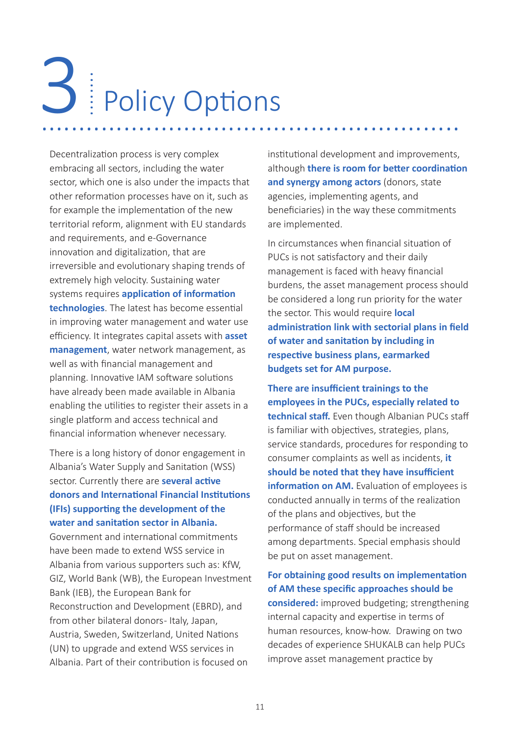# Policy Options 3 | Policy Options

Decentralization process is very complex embracing all sectors, including the water sector, which one is also under the impacts that other reformation processes have on it, such as for example the implementation of the new territorial reform, alignment with EU standards and requirements, and e-Governance innovation and digitalization, that are irreversible and evolutionary shaping trends of extremely high velocity. Sustaining water systems requires **application of information technologies**. The latest has become essential in improving water management and water use efficiency. It integrates capital assets with **asset management**, water network management, as well as with financial management and planning. Innovative IAM software solutions have already been made available in Albania enabling the utilities to register their assets in a single platform and access technical and financial information whenever necessary.

There is a long history of donor engagement in Albania's Water Supply and Sanitation (WSS) sector. Currently there are **several active donors and International Financial Institutions (IFIs) supporting the development of the water and sanitation sector in Albania.**

Government and international commitments have been made to extend WSS service in Albania from various supporters such as: KfW, GIZ, World Bank (WB), the European Investment Bank (IEB), the European Bank for Reconstruction and Development (EBRD), and from other bilateral donors- Italy, Japan, Austria, Sweden, Switzerland, United Nations (UN) to upgrade and extend WSS services in Albania. Part of their contribution is focused on

institutional development and improvements, although **there is room for better coordination**  and synergy among actors (donors, state agencies, implementing agents, and beneficiaries) in the way these commitments are implemented.

In circumstances when financial situation of PUCs is not satisfactory and their daily management is faced with heavy financial burdens, the asset management process should be considered a long run priority for the water the sector. This would require **local administration link with sectorial plans in field of water and sanitation by including in respective business plans, earmarked budgets set for AM purpose.** 

**There are insufficient trainings to the employees in the PUCs, especially related to technical staff.** Even though Albanian PUCs staff is familiar with objectives, strategies, plans, service standards, procedures for responding to consumer complaints as well as incidents, **it should be noted that they have insufficient information on AM.** Evaluation of employees is conducted annually in terms of the realization of the plans and objectives, but the performance of staff should be increased among departments. Special emphasis should be put on asset management.

## **For obtaining good results on implementation of AM these specific approaches should be**

**considered:** improved budgeting; strengthening internal capacity and expertise in terms of human resources, know-how. Drawing on two decades of experience SHUKALB can help PUCs improve asset management practice by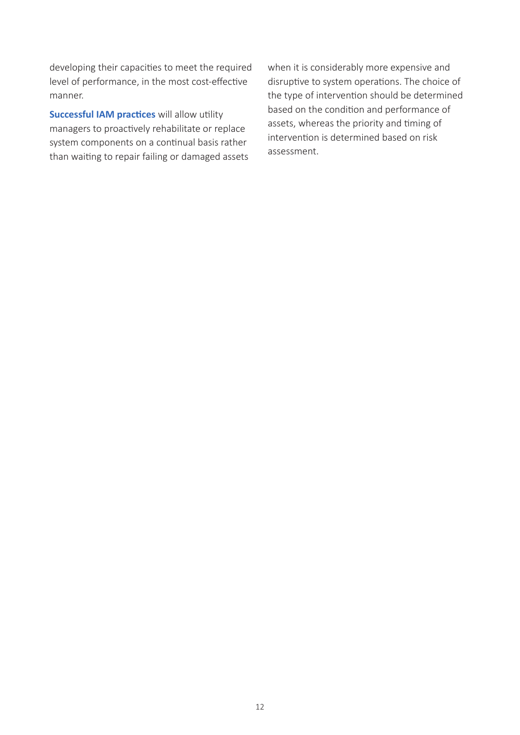developing their capacities to meet the required level of performance, in the most cost-effective manner.

**Successful IAM practices** will allow utility managers to proactively rehabilitate or replace system components on a continual basis rather than waiting to repair failing or damaged assets when it is considerably more expensive and disruptive to system operations. The choice of the type of intervention should be determined based on the condition and performance of assets, whereas the priority and timing of intervention is determined based on risk assessment.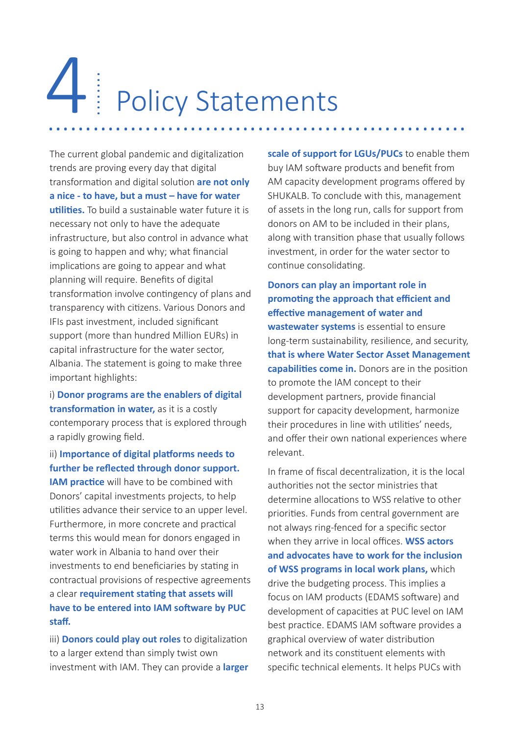# Policy Statements 4 4 Policy Statements

The current global pandemic and digitalization trends are proving every day that digital transformation and digital solution **are not only a nice - to have, but a must – have for water utilities.** To build a sustainable water future it is necessary not only to have the adequate infrastructure, but also control in advance what is going to happen and why; what financial implications are going to appear and what planning will require. Benefits of digital transformation involve contingency of plans and transparency with citizens. Various Donors and IFIs past investment, included significant support (more than hundred Million EURs) in capital infrastructure for the water sector, Albania. The statement is going to make three important highlights:

i) **Donor programs are the enablers of digital transformation in water,** as it is a costly contemporary process that is explored through a rapidly growing field.

ii) **Importance of digital platforms needs to further be reflected through donor support. IAM practice** will have to be combined with

Donors' capital investments projects, to help utilities advance their service to an upper level. Furthermore, in more concrete and practical terms this would mean for donors engaged in water work in Albania to hand over their investments to end beneficiaries by stating in contractual provisions of respective agreements a clear **requirement stating that assets will have to be entered into IAM software by PUC staff.**

iii) **Donors could play out roles** to digitalization to a larger extend than simply twist own investment with IAM. They can provide a **larger** 

**scale of support for LGUs/PUCs** to enable them buy IAM software products and benefit from AM capacity development programs offered by SHUKALB. To conclude with this, management of assets in the long run, calls for support from donors on AM to be included in their plans, along with transition phase that usually follows investment, in order for the water sector to continue consolidating.

**Donors can play an important role in promoting the approach that efficient and effective management of water and wastewater systems** is essential to ensure long-term sustainability, resilience, and security, **that is where Water Sector Asset Management capabilities come in.** Donors are in the position to promote the IAM concept to their development partners, provide financial support for capacity development, harmonize their procedures in line with utilities' needs, and offer their own national experiences where relevant.

In frame of fiscal decentralization, it is the local authorities not the sector ministries that determine allocations to WSS relative to other priorities. Funds from central government are not always ring-fenced for a specific sector when they arrive in local offices. **WSS actors and advocates have to work for the inclusion of WSS programs in local work plans,** which drive the budgeting process. This implies a focus on IAM products (EDAMS software) and development of capacities at PUC level on IAM best practice. EDAMS IAM software provides a graphical overview of water distribution network and its constituent elements with specific technical elements. It helps PUCs with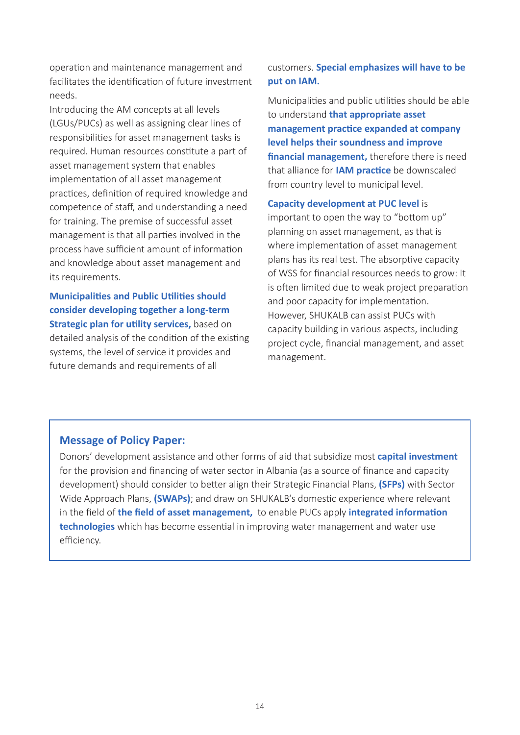operation and maintenance management and facilitates the identification of future investment needs.

Introducing the AM concepts at all levels (LGUs/PUCs) as well as assigning clear lines of responsibilities for asset management tasks is required. Human resources constitute a part of asset management system that enables implementation of all asset management practices, definition of required knowledge and competence of staff, and understanding a need for training. The premise of successful asset management is that all parties involved in the process have sufficient amount of information and knowledge about asset management and its requirements.

**Municipalities and Public Utilities should consider developing together a long-term Strategic plan for utility services,** based on detailed analysis of the condition of the existing systems, the level of service it provides and future demands and requirements of all

#### customers. **Special emphasizes will have to be put on IAM.**

Municipalities and public utilities should be able to understand **that appropriate asset management practice expanded at company level helps their soundness and improve financial management,** therefore there is need that alliance for **IAM practice** be downscaled from country level to municipal level.

#### **Capacity development at PUC level** is

important to open the way to "bottom up" planning on asset management, as that is where implementation of asset management plans has its real test. The absorptive capacity of WSS for financial resources needs to grow: It is often limited due to weak project preparation and poor capacity for implementation. However, SHUKALB can assist PUCs with capacity building in various aspects, including project cycle, financial management, and asset management.

#### **Message of Policy Paper:**

Donors' development assistance and other forms of aid that subsidize most **capital investment** for the provision and financing of water sector in Albania (as a source of finance and capacity development) should consider to better align their Strategic Financial Plans, **(SFPs)** with Sector Wide Approach Plans, **(SWAPs)**; and draw on SHUKALB's domestic experience where relevant in the field of **the field of asset management,** to enable PUCs apply **integrated information technologies** which has become essential in improving water management and water use efficiency.